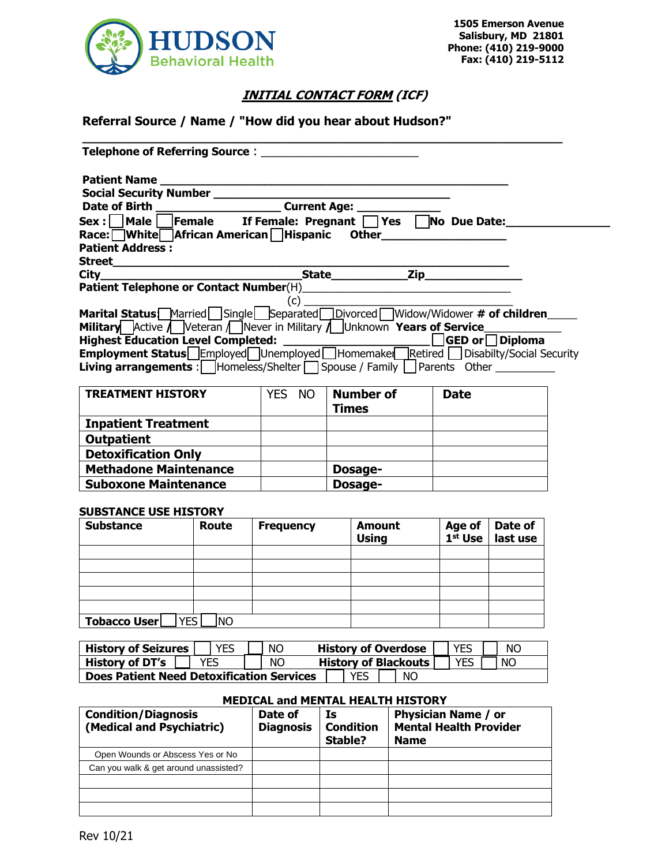

## **INITIAL CONTACT FORM (ICF)**

### **Referral Source / Name / "How did you hear about Hudson?"**

| <b>Telephone of Referring Source:</b>                                                                       |                                       |              |                       |  |
|-------------------------------------------------------------------------------------------------------------|---------------------------------------|--------------|-----------------------|--|
| <b>Patient Name</b>                                                                                         |                                       |              |                       |  |
| <b>Social Security Number</b>                                                                               |                                       |              |                       |  |
| <b>Date of Birth</b>                                                                                        | <b>Current Age:</b>                   |              |                       |  |
| Male  <br>Sex : l                                                                                           | Female If Female: Pregnant $\Box$ Yes |              | No Due Date:          |  |
| Race: White African American Hispanic                                                                       |                                       | <b>Other</b> |                       |  |
| <b>Patient Address:</b>                                                                                     |                                       |              |                       |  |
| <b>Street</b>                                                                                               |                                       |              |                       |  |
| <b>City</b>                                                                                                 | <b>State</b>                          |              | $\mathsf{Zip}_{-}$    |  |
| Patient Telephone or Contact Number(H)                                                                      |                                       |              |                       |  |
|                                                                                                             | (C)                                   |              |                       |  |
| Marital Status Married   Single   Separated   Divorced Widow/Widower # of children                          |                                       |              |                       |  |
| <b>Military</b> Active <i>N</i> Veteran <i>N</i> Never in Military <i>N</i> Unknown <b>Years of Service</b> |                                       |              |                       |  |
| <b>Highest Education Level Completed:</b>                                                                   |                                       |              | <b>GED or Diploma</b> |  |
| <b>Employment Status</b> Employed Unemployed Homemake Retired Disabilty/Social Security                     |                                       |              |                       |  |
| <b>Living arrangements</b> : $\Box$ Homeless/Shelter $\Box$ Spouse / Family $\Box$ Parents Other            |                                       |              |                       |  |

| <b>TREATMENT HISTORY</b>     | YES NO | <b>Number of</b><br><b>Times</b> | <b>Date</b> |
|------------------------------|--------|----------------------------------|-------------|
| <b>Inpatient Treatment</b>   |        |                                  |             |
| <b>Outpatient</b>            |        |                                  |             |
| <b>Detoxification Only</b>   |        |                                  |             |
| <b>Methadone Maintenance</b> |        | Dosage-                          |             |
| <b>Suboxone Maintenance</b>  |        | Dosage-                          |             |

#### **SUBSTANCE USE HISTORY**

| <b>Substance</b>    | Route                  | <b>Frequency</b> | <b>Amount</b><br><b>Using</b> | Age of<br>$1st$ Use | Date of<br>last use |
|---------------------|------------------------|------------------|-------------------------------|---------------------|---------------------|
|                     |                        |                  |                               |                     |                     |
|                     |                        |                  |                               |                     |                     |
|                     |                        |                  |                               |                     |                     |
|                     |                        |                  |                               |                     |                     |
|                     |                        |                  |                               |                     |                     |
| <b>Tobacco User</b> | <b>ES</b><br><b>NO</b> |                  |                               |                     |                     |

| <b>History of Seizures</b>                                           |  | YES  |  | NС |  | <b>History of Overdose</b> |                             | <b>YES</b> | NO.       |
|----------------------------------------------------------------------|--|------|--|----|--|----------------------------|-----------------------------|------------|-----------|
| <b>History of DT's</b>                                               |  | YES. |  | ΝO |  |                            | <b>History of Blackouts</b> | YES        | <b>NC</b> |
| <b>Does Patient Need Detoxification Services</b><br><b>NC</b><br>YES |  |      |  |    |  |                            |                             |            |           |

#### **MEDICAL and MENTAL HEALTH HISTORY**

| <b>Condition/Diagnosis</b><br>(Medical and Psychiatric) | Date of<br><b>Diagnosis</b> | Is<br><b>Condition</b><br>Stable? | <b>Physician Name / or</b><br><b>Mental Health Provider</b><br><b>Name</b> |
|---------------------------------------------------------|-----------------------------|-----------------------------------|----------------------------------------------------------------------------|
| Open Wounds or Abscess Yes or No                        |                             |                                   |                                                                            |
| Can you walk & get around unassisted?                   |                             |                                   |                                                                            |
|                                                         |                             |                                   |                                                                            |
|                                                         |                             |                                   |                                                                            |
|                                                         |                             |                                   |                                                                            |